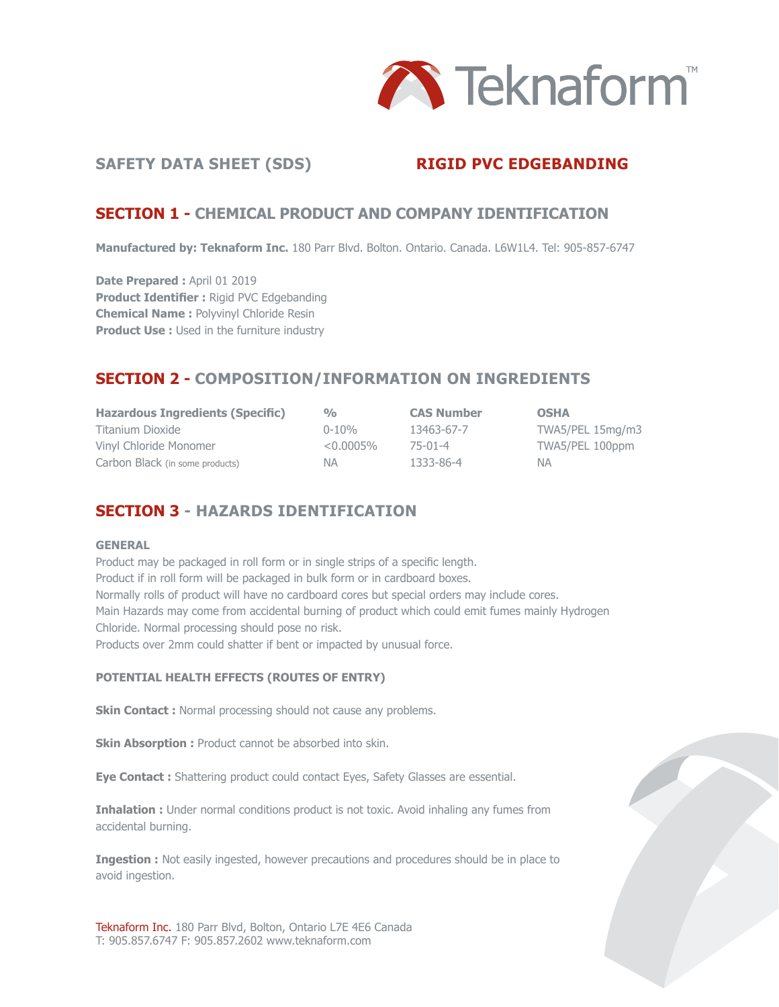

#### SAFETY DATA SHEET (SDS) **RIGID PVC EDGEBANDING**

#### **SECTION 1 - CHEMICAL PRODUCT AND COMPANY IDENTIFICATION**

**Manufactured by: Teknaform Inc.** 180 Parr Blvd. Bolton. Ontario. Canada. L6W1L4. Tel: 905-857-6747

**Date Prepared : April 01 2019 Product Identifier :** Rigid PVC Edgebanding **Chemical Name :** Polyvinyl Chloride Resin **Product Use :** Used in the furniture industry

# **SECTION 2 - COMPOSITION/INFORMATION ON INGREDIENTS**

| <b>Hazardous Ingredients (Specific)</b> | $\frac{0}{0}$ | <b>CAS Number</b> | <b>OSHA</b>      |
|-----------------------------------------|---------------|-------------------|------------------|
| Titanium Dioxide                        | $0 - 10%$     | 13463-67-7        | TWA5/PEL 15mg/m3 |
| Vinyl Chloride Monomer                  | $< 0.0005\%$  | 75-01-4           | TWA5/PEL 100ppm  |
| Carbon Black (in some products)         | NA.           | 1333-86-4         | NA.              |

# **SECTION 3 - HAZARDS IDENTIFICATION**

#### **GENERAL**

Product may be packaged in roll form or in single strips of a specific length. Product if in roll form will be packaged in bulk form or in cardboard boxes. Normally rolls of product will have no cardboard cores but special orders may include cores. Main Hazards may come from accidental burning of product which could emit fumes mainly Hydrogen Chloride. Normal processing should pose no risk. Products over 2mm could shatter if bent or impacted by unusual force.

#### **POTENTIAL HEALTH EFFECTS (ROUTES OF ENTRY)**

**Skin Contact :** Normal processing should not cause any problems.

**Skin Absorption :** Product cannot be absorbed into skin.

**Eye Contact :** Shattering product could contact Eyes, Safety Glasses are essential.

**Inhalation :** Under normal conditions product is not toxic. Avoid inhaling any fumes from accidental burning.

**Ingestion :** Not easily ingested, however precautions and procedures should be in place to avoid ingestion.

Teknaform Inc. 180 Parr Blvd, Bolton, Ontario L7E 4E6 Canada T: 905.857.6747 F: 905.857.2602 www.teknaform.com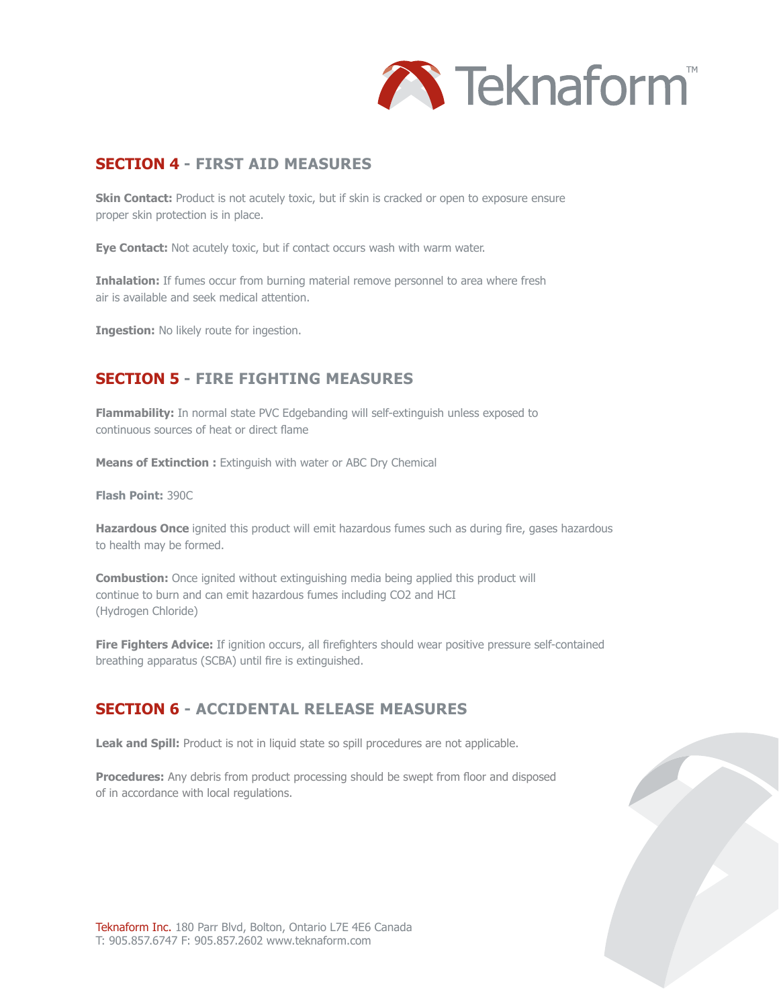

#### **SECTION 4 - FIRST AID MEASURES**

**Skin Contact:** Product is not acutely toxic, but if skin is cracked or open to exposure ensure proper skin protection is in place.

**Eye Contact:** Not acutely toxic, but if contact occurs wash with warm water.

**Inhalation:** If fumes occur from burning material remove personnel to area where fresh air is available and seek medical attention.

**Ingestion:** No likely route for ingestion.

# **SECTION 5 - FIRE FIGHTING MEASURES**

**Flammability:** In normal state PVC Edgebanding will self-extinguish unless exposed to continuous sources of heat or direct flame

**Means of Extinction :** Extinguish with water or ABC Dry Chemical

**Flash Point:** 390C

**Hazardous Once** ignited this product will emit hazardous fumes such as during fire, gases hazardous to health may be formed.

**Combustion:** Once ignited without extinguishing media being applied this product will continue to burn and can emit hazardous fumes including CO2 and HCI (Hydrogen Chloride)

**Fire Fighters Advice:** If ignition occurs, all firefighters should wear positive pressure self-contained breathing apparatus (SCBA) until fire is extinguished.

#### **SECTION 6 - ACCIDENTAL RELEASE MEASURES**

Leak and Spill: Product is not in liquid state so spill procedures are not applicable.

**Procedures:** Any debris from product processing should be swept from floor and disposed of in accordance with local regulations.

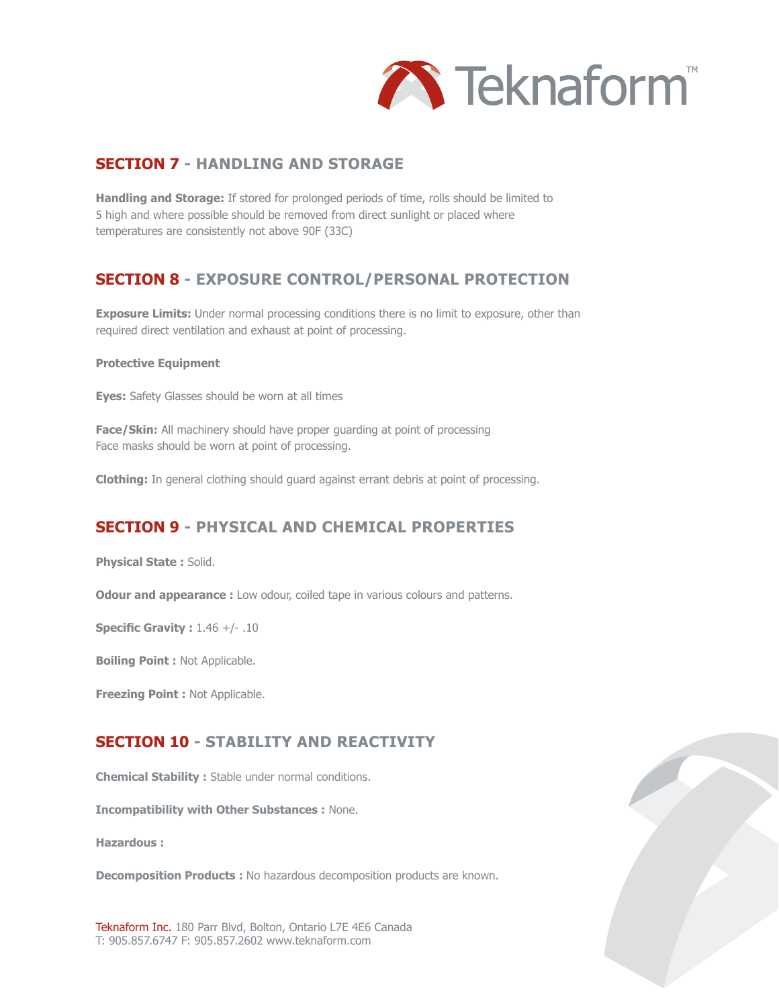

#### **SECTION 7 - HANDLING AND STORAGE**

**Handling and Storage:** If stored for prolonged periods of time, rolls should be limited to 5 high and where possible should be removed from direct sunlight or placed where temperatures are consistently not above 90F (33C)

# **SECTION 8 - EXPOSURE CONTROL/PERSONAL PROTECTION**

**Exposure Limits:** Under normal processing conditions there is no limit to exposure, other than required direct ventilation and exhaust at point of processing.

#### **Protective Equipment**

**Eyes:** Safety Glasses should be worn at all times

**Face/Skin:** All machinery should have proper quarding at point of processing Face masks should be worn at point of processing.

**Clothing:** In general clothing should guard against errant debris at point of processing.

# **SECTION 9 - PHYSICAL AND CHEMICAL PROPERTIES**

**Physical State :** Solid.

**Odour and appearance :** Low odour, coiled tape in various colours and patterns.

**Specific Gravity :** 1.46 +/- .10

**Boiling Point :** Not Applicable.

**Freezing Point :** Not Applicable.

# **SECTION 10 - STABILITY AND REACTIVITY**

**Chemical Stability :** Stable under normal conditions.

**Incompatibility with Other Substances :** None.

**Hazardous :**

**Decomposition Products :** No hazardous decomposition products are known.

Teknaform Inc. 180 Parr Blvd, Bolton, Ontario L7E 4E6 Canada T: 905.857.6747 F: 905.857.2602 www.teknaform.com